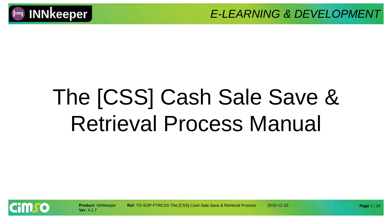

# The [CSS] Cash Sale Save & Retrieval Process Manual



**Product**: INNkeeper **Ref**: TD-SOP-FTRCSS The [CSS] Cash Sale Save & Retrieval Process 2019-12-10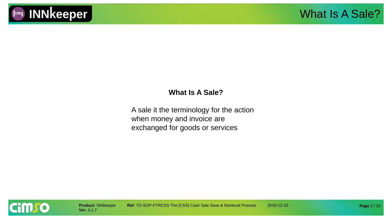

#### **What Is A Sale?**

A sale it the terminology for the action when money and invoice are exchanged for goods or services

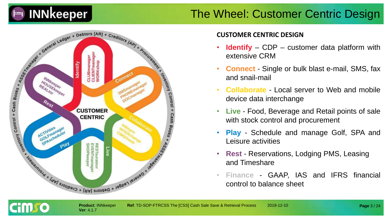

#### The Wheel: Customer Centric Design



**Ver**: 4.1.7

cim so

#### **CUSTOMER CENTRIC DESIGN**

- **Identify** CDP customer data platform with extensive CRM
- **Connect** Single or bulk blast e-mail, SMS, fax and snail-mail
- **Collaborate** Local server to Web and mobile device data interchange
- **Live** Food, Beverage and Retail points of sale with stock control and procurement
- **Play** Schedule and manage Golf, SPA and Leisure activities
- **Rest** Reservations, Lodging PMS, Leasing and Timeshare
- **Finance** GAAP, IAS and IFRS financial control to balance sheet

**Page** 3 / 24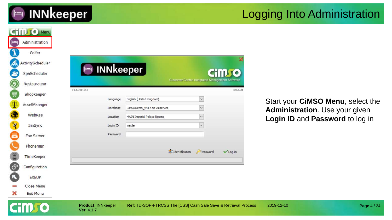

#### Logging Into Administration

|                         | <b>CHILLIO</b> Menu |                                         |                                                                 |                                                        |                |                                   |             |
|-------------------------|---------------------|-----------------------------------------|-----------------------------------------------------------------|--------------------------------------------------------|----------------|-----------------------------------|-------------|
| $\vdash$                | Administration      |                                         |                                                                 |                                                        |                |                                   |             |
|                         | Golfer              |                                         |                                                                 |                                                        |                |                                   |             |
| கூ                      | ActivityScheduler   |                                         |                                                                 |                                                        |                |                                   |             |
| S                       | SpaScheduler        | $\vdash$                                | <b>INNkeeper</b>                                                |                                                        | <b>CHILLIO</b> |                                   |             |
| Ø                       | Restaurateur        |                                         |                                                                 | <b>Customer Centric Integrated Management Software</b> |                |                                   |             |
| 買                       | ShopKeeper          | V4.1.7b11143                            |                                                                 |                                                        | 8d647da        |                                   |             |
| $\Phi$                  | AssetManager        | Language                                | English (United Kingdom)                                        | $\checkmark$                                           |                | Start your CiMSO Menu, select the |             |
| $\bullet$               | WebRes              | Database<br>Location                    | CIMSODemo_V417 on vmserver<br>MAIN Imperial Palace Rooms        | $\checkmark$<br>$\checkmark$                           |                | Administration. Use your given    |             |
|                         | InnSync             | Login ID                                | master                                                          |                                                        |                | Login ID and Password to log in   |             |
| X                       | Fax Server          | Password                                |                                                                 |                                                        |                |                                   |             |
|                         | Phoneman            |                                         |                                                                 |                                                        |                |                                   |             |
|                         | TimeKeeper          |                                         |                                                                 | do Identification<br>Password                          | √ Log In       |                                   |             |
| <b>C<sub>3</sub></b> 60 | Configuration       |                                         |                                                                 |                                                        |                |                                   |             |
| ß                       | <b>EXEUP</b>        |                                         |                                                                 |                                                        |                |                                   |             |
|                         | Close Menu          |                                         |                                                                 |                                                        |                |                                   |             |
| ×                       | Exit Menu           |                                         |                                                                 |                                                        |                |                                   |             |
|                         |                     | <b>Product: INNkeeper</b><br>Ver: 4.1.7 | Ref: TD-SOP-FTRCSS The [CSS] Cash Sale Save & Retrieval Process |                                                        |                | 2019-12-10                        | Page 4 / 24 |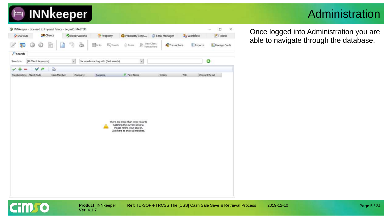T INNkeeper - Licensed to Imperial Palace - LoginID: MASTER

**R** Clients

図

ð

Main Member

[All Client Keywords]

Shortcuts

 $\mathcal{D}$  Search

Memberships Client Code

Search in

✓

Þ

Reservations

 $\sim$ 

ð

Company

**Property** 

**By Visuals** 

**S** Tasks

F First Name

 $\vert \mathbf{v} \vert$ 

**目Urks** 

for words starting with (fast search)

Surname

#### Administration

 $\Box$  $\times$  $\overline{\phantom{a}}$ Once logged into Administration you are Products/Servi... Task Manager & Workflow  $T$ Tickets able to navigate through the database. Transactions Transactions Reports Manage Cards ☺ Initials Title Contact Detail

There are more than 1000 records matching the current criteria. Please refine your search. Click here to show all matches.

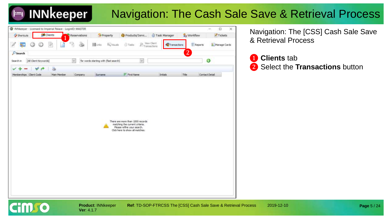

#### Navigation: The Cash Sale Save & Retrieval Process



**Ver**: 4.1.7

Navigation: The [CSS] Cash Sale Save & Retrieval Process

❶ **Clients** tab

❷ Select the **Transactions** button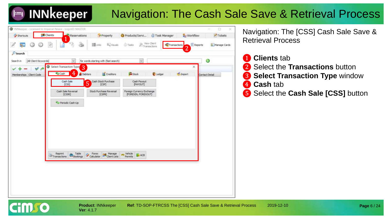#### Navigation: The Cash Sale Save & Retrieval Process



Navigation: The [CSS] Cash Sale Save & Retrieval Process

- ❶ **Clients** tab
- **2** Select the **Transactions** button
- **3** Select Transaction Type window
- ❹ **Cash** tab
- ❺ Select the **Cash Sale [CSS]** button

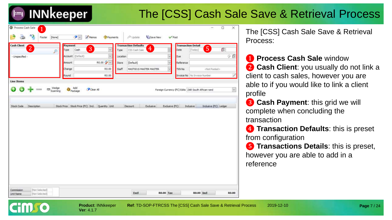## The [CSS] Cash Sale Save & Retrieval Process

| <b>Cash Client</b>        |   | Payment                                         |      |                    |                |          | <b>Transaction Defaults</b> |                        |                          | <b>Transaction Detail</b> |                                |                         |   |    |
|---------------------------|---|-------------------------------------------------|------|--------------------|----------------|----------|-----------------------------|------------------------|--------------------------|---------------------------|--------------------------------|-------------------------|---|----|
| $2^{1}$                   | ₽ | Type:                                           | Cash | $\left  3 \right $ | w              | Type:    | CSS Cash Sale               | $\overline{4}$         |                          | Date                      | [Today]                        | $\overline{5}$          | Ö |    |
| - Unspecified -           |   | Account (Default)                               |      |                    | $\omega$       | Location |                             |                        | $\overline{\phantom{a}}$ | Due                       |                                |                         |   | 少臣 |
|                           |   | Amount                                          |      |                    | $R0.00$ $\sim$ | Store    | [Default]                   |                        | w                        | Reference                 |                                |                         |   |    |
|                           |   | Change                                          |      |                    | R0.00          | Staff    |                             | MAST001S MASTER MASTER | $\ddot{}$                | TXN No                    |                                | <hipt posted=""></hipt> |   |    |
|                           |   | Round                                           |      |                    | R0.00          |          |                             |                        |                          |                           | Invoice No   No Invoice Number |                         |   |    |
|                           |   |                                                 |      |                    |                |          |                             |                        |                          |                           |                                |                         |   |    |
|                           |   |                                                 |      |                    |                |          |                             |                        |                          |                           |                                |                         |   |    |
| Stock Code<br>Description |   | Stock Price Stock Price (FC) Ind. Quantity Unit |      |                    |                |          | Discount                    | Exclusive              | Exclusive (FC)           |                           | Indusive                       | Indusive (FC) Ledger    |   |    |
|                           |   |                                                 |      |                    |                |          |                             |                        |                          |                           |                                |                         |   |    |
|                           |   |                                                 |      |                    |                |          |                             |                        |                          |                           |                                |                         |   |    |
|                           |   |                                                 |      |                    |                |          |                             |                        |                          |                           |                                |                         |   |    |
|                           |   |                                                 |      |                    |                |          |                             |                        |                          |                           |                                |                         |   |    |
|                           |   |                                                 |      |                    |                |          |                             |                        |                          |                           |                                |                         |   |    |
|                           |   |                                                 |      |                    |                |          |                             |                        |                          |                           |                                |                         |   |    |
|                           |   |                                                 |      |                    |                |          |                             |                        |                          |                           |                                |                         |   |    |
|                           |   |                                                 |      |                    |                |          |                             |                        |                          |                           |                                |                         |   |    |

**Ver**: 4.1.7

The [CSS] Cash Sale Save & Retrieval Process:

❶ **Process Cash Sale** window **2 Cash Client**: you usually do not link a client to cash sales, however you are able to if you would like to link a client profile

**8 Cash Payment: this grid we will** complete when concluding the transaction

❹ **Transaction Defaults**: this is preset from configuration

❺ **Transactions Details**: this is preset, however you are able to add in a reference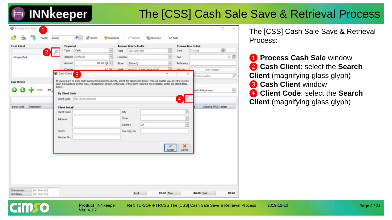#### The [CSS] Cash Sale Save & Retrieval Process

|                           | Payment              |                                  |              | <b>Transaction Defaults</b> |          | <b>Transaction Detail</b> |                       |          |
|---------------------------|----------------------|----------------------------------|--------------|-----------------------------|----------|---------------------------|-----------------------|----------|
| $\overline{2}$            | Type                 | Cash<br>$\sim$                   | Type         | CSS Cash Sale               |          | Date                      | [Today]               | ß        |
| - Unspecified -           | Account (Default)    | $\omega$                         | Location     |                             | $\omega$ | Due                       |                       | 少臣       |
|                           | Amount               | R0.00 $\rightarrow$              | Store        | [Default]                   | $\omega$ | Reference                 |                       |          |
|                           |                      | 00.00                            | <b>Chaff</b> | MASTAGIC MASTED MASTED      |          | <b>TVM No</b>             | <not posted=""></not> |          |
|                           | G Cash Client        | 3                                |              |                             | -        | $\times$<br>lo.           | tivoice Number        |          |
| below.<br>$\mathbf{m}$    | By Client Code       |                                  |              |                             |          |                           | outh African rand     | $\omega$ |
|                           |                      | Client Code (No Client Selected) |              |                             |          | 4                         |                       |          |
| Description<br>Stock Code | <b>Client Detail</b> |                                  |              |                             |          |                           | Inclusive (FC) Ledger |          |
|                           | Client Name          |                                  | Cty          |                             |          | $\sim$                    |                       |          |
|                           | <b>Address</b>       |                                  | Code         |                             |          | $\omega$                  |                       |          |
|                           |                      |                                  | Country      | ZA                          |          | v                         |                       |          |
|                           | Points               |                                  |              | Tax Reg. No.                |          |                           |                       |          |
|                           | Member No.           |                                  |              |                             |          |                           |                       |          |
|                           |                      |                                  |              |                             |          | ×                         |                       |          |
|                           |                      |                                  |              |                             | Accept   | Cancel                    |                       |          |
|                           |                      |                                  |              |                             |          |                           |                       |          |
|                           |                      |                                  |              |                             |          |                           |                       |          |
|                           |                      |                                  |              |                             |          |                           |                       |          |
|                           |                      |                                  |              |                             |          |                           |                       |          |
|                           |                      |                                  |              |                             |          |                           |                       |          |

The [CSS] Cash Sale Save & Retrieval Process:

 **Process Cash Sale** window **Cash Client**: select the **Search Client** (magnifying glass glyph) **Cash Client** window **Client Code**: select the **Search Client** (magnifying glass glyph)

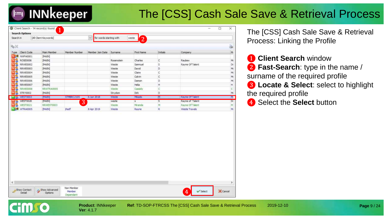## The [CSS] Cash Sale Save & Retrieval Process

| Search in                              | [All Client Keywords] |               | for words starting with<br>$\sim$ |            | weste<br>$\overline{2}$ |          |                 |   |
|----------------------------------------|-----------------------|---------------|-----------------------------------|------------|-------------------------|----------|-----------------|---|
| $Q_0 \geq 0$                           |                       |               |                                   |            |                         |          |                 | 3 |
| Type Client Code                       | Main Member           | Member Number | Member Join Date                  | Surname    | First Name              | Initials | Company         |   |
| <b>NEW NWFA0001</b>                    | [MAIN]                |               |                                   |            |                         |          |                 |   |
| 5۵<br>ROSE0006                         | [MAIN]                |               |                                   | Rosenstein | Charles                 | C        | Raubex          |   |
| N S<br><b>RRWE0002</b>                 | [MAIN]                |               |                                   | Weste      | Samnuel                 | 5        | Rayne Of Talent |   |
| <b>RRWE0003</b>                        | [MAIN]                |               |                                   | Weste      | David                   | D        |                 |   |
| RRWE0004                               | [MAIN]                |               |                                   | Weste      | Claire                  | с        |                 |   |
| RRWE0005<br>M S                        | [MAIN]                |               |                                   | Weste      | Calvin                  | c        |                 |   |
| RRWE0006                               | [MAIN]                |               |                                   | Weste      | Damon                   | Ð.       |                 |   |
| RRWE0007                               | [MAIN]                |               |                                   | Weste      | Hela                    | H        |                 |   |
| <b>RRWE000B</b>                        | RRWTRA0005            |               |                                   | Weste      | Cassidy                 | ċ        |                 |   |
| STRY0002                               | [MAIN]                |               |                                   | Strydom    | Dirk                    | D        |                 |   |
| <b>ENTRS WEST0003</b>                  | [MAIN]                | STMBRC2105    | 5 Am 2018                         | Weste      | Mikado                  | M        | Rayne Of Talent |   |
| WEST0020<br><b>MS</b>                  | [MAIN]                | 3             |                                   | weste      | s.                      | 5        | Rayne of Talent |   |
|                                        |                       |               |                                   | Weste      | Miranda                 | M        | Rayne Of Talent |   |
|                                        |                       |               |                                   |            |                         |          |                 |   |
| шS<br>WEST0021<br><b>IL R WTRA0005</b> | RRWEST0003<br>[MAIN]  | the dif-      | 8 Apr 2019                        | Weste      | Rayne                   | R        | Weste Travels   |   |
|                                        |                       |               |                                   |            |                         |          |                 |   |
|                                        |                       |               |                                   |            |                         |          |                 |   |
|                                        |                       |               |                                   |            |                         |          |                 |   |
|                                        |                       |               |                                   |            |                         |          |                 |   |
|                                        |                       |               |                                   |            |                         |          |                 |   |
|                                        |                       |               |                                   |            |                         |          |                 |   |
|                                        |                       |               |                                   |            |                         |          |                 |   |
|                                        |                       |               |                                   |            |                         |          |                 |   |
|                                        |                       |               |                                   |            |                         |          |                 |   |
|                                        |                       |               |                                   |            |                         |          |                 |   |
|                                        |                       |               |                                   |            |                         |          |                 |   |
|                                        |                       |               |                                   |            |                         |          |                 |   |
|                                        |                       |               |                                   |            |                         |          |                 |   |
|                                        |                       |               |                                   |            |                         |          |                 |   |

**Ver**: 4.1.7

**Product**: INNkeeper **Ref**: TD-SOP-FTRCSS The [CSS] Cash Sale Save & Retrieval Process 2019-12-10

The [CSS] Cash Sale Save & Retrieval Process: Linking the Profile

❶ **Client Search** window ❷ **Fast-Search**: type in the name / surname of the required profile ❸ **Locate & Select**: select to highlight the required profile 4 Select the **Select** button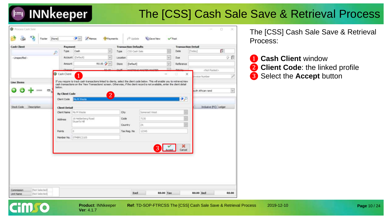#### The [CSS] Cash Sale Save & Retrieval Process

| <b>Cash Client</b>                  | Payment                                 |                                                                                                                                                                                                                                                                                                   |          | <b>Transaction Defaults</b> |            | <b>Transaction Detail</b> |                       |                     |
|-------------------------------------|-----------------------------------------|---------------------------------------------------------------------------------------------------------------------------------------------------------------------------------------------------------------------------------------------------------------------------------------------------|----------|-----------------------------|------------|---------------------------|-----------------------|---------------------|
|                                     | Type:<br>P                              | Cash<br>w.                                                                                                                                                                                                                                                                                        | Type     | CSS Cash Sale               |            | Date                      | [Today]               | Ű.                  |
| - Unspecified -                     |                                         | Account (Default)<br>W.                                                                                                                                                                                                                                                                           | Location |                             | $\backsim$ | Due:                      |                       | 少良                  |
|                                     | <b>Amount</b>                           | R0.00 2                                                                                                                                                                                                                                                                                           | Store    | [Default]                   | w.         | Reference                 |                       |                     |
|                                     |                                         | 00.00                                                                                                                                                                                                                                                                                             |          | USPENIAE MACTER MACTE       |            |                           | <not posted=""></not> |                     |
|                                     | G Cash Client                           | 1                                                                                                                                                                                                                                                                                                 |          |                             | ⋍          | ×<br>世                    | hvoice Number         |                     |
| <b>Line Items</b><br>m <sub>q</sub> | below.<br>By Client Code<br>Client Code | If you require to track cash transactions linked to clients, select the client code below. This will enable you to retrieve/view<br>cash transactions on the 'View Transactions' screen. Otherwise, if the dient record is not available, enter the client detail<br>$\overline{2}$<br>Ms M Weste |          |                             |            | $\mathcal{P}$             | outh African rand     | $\ddot{\mathbf{v}}$ |
|                                     |                                         |                                                                                                                                                                                                                                                                                                   |          |                             |            |                           |                       |                     |
| Stock Code<br>Description           | <b>Client Detail</b>                    |                                                                                                                                                                                                                                                                                                   |          |                             |            |                           | Inclusive (FC) Ledger |                     |
|                                     |                                         | Client Name   Ms M Weste                                                                                                                                                                                                                                                                          | City     | Somerset West               |            |                           |                       |                     |
|                                     | Address                                 | 15 Helderberg Road<br>Stuart's Hill                                                                                                                                                                                                                                                               | Code     | 7130                        |            |                           |                       |                     |
|                                     |                                         |                                                                                                                                                                                                                                                                                                   | Country  | ZA                          |            |                           |                       |                     |
|                                     | <b>Points</b>                           | o                                                                                                                                                                                                                                                                                                 |          | 12345<br>Tax Reg. No        |            |                           |                       |                     |
|                                     | Member No.                              | STMBRC2105                                                                                                                                                                                                                                                                                        |          |                             |            |                           |                       |                     |
|                                     |                                         |                                                                                                                                                                                                                                                                                                   |          | 3                           | Accept     | ×<br>Cancel               |                       |                     |

**Ver**: 4.1.7

**Cimgo** 

**Product**: INNkeeper **Ref**: TD-SOP-FTRCSS The [CSS] Cash Sale Save & Retrieval Process 2019-12-10

The [CSS] Cash Sale Save & Retrieval Process:

**Page** 10 / 24

❶ **Cash Client** window **2** Client Code: the linked profile 8 Select the **Accept** button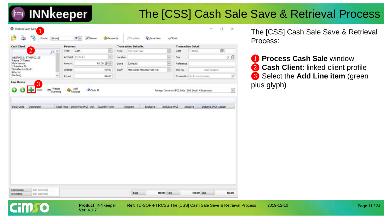## The [CSS] Cash Sale Save & Retrieval Process

| <b>Cash Client</b>                              | Payment |                   |              |              | <b>Transaction Defaults</b> |            | <b>Transaction Detail</b> |                                                    |                       |     |
|-------------------------------------------------|---------|-------------------|--------------|--------------|-----------------------------|------------|---------------------------|----------------------------------------------------|-----------------------|-----|
| $\overline{2}$<br>$\sim$<br>₽                   | Type    | Cash              | $\sim$       | Type         | CSS Cash Sale               |            | Date                      | [Today]                                            | $\mathbb{G}$          |     |
| WEST0003 / STMBRC2105                           |         | Account (Default) | Ÿ            | Location     |                             | $\omega$   | Due                       |                                                    |                       | 少良  |
| Rayne Of Talent<br>Ms M Weste                   | Amount  |                   | R0.00 $\sim$ | <b>Store</b> | (Default)                   | y.         | Reference                 |                                                    |                       |     |
| 13 Azaiea Str<br>Old Alberton North<br>Alberton | Change  |                   | R0.00        | <b>Staff</b> | MASTOO15 MASTER MASTER.     | $\backsim$ | TXN No                    |                                                    | <not posted=""></not> |     |
| Gauteng<br>w                                    | Round.  |                   | R0.00        |              |                             |            |                           | Invoice No   No Invoice Number                     |                       | 7   |
| 3<br>Wedge<br>63<br>巴生<br>Scanning              | Package | Add               | Cear All     |              |                             |            |                           | Foreign Currency (FC) Edits ZAR South African rand |                       | le. |
|                                                 |         |                   |              |              |                             |            |                           |                                                    |                       |     |
|                                                 |         |                   |              |              |                             |            |                           |                                                    |                       |     |
|                                                 |         |                   |              |              |                             |            |                           |                                                    |                       |     |
|                                                 |         |                   |              |              |                             |            |                           |                                                    |                       |     |

**Ver**: 4.1.7

**FMSO** 

**Product**: INNkeeper **Ref**: TD-SOP-FTRCSS The [CSS] Cash Sale Save & Retrieval Process 2019-12-10

The [CSS] Cash Sale Save & Retrieval Process:

 **Process Cash Sale** window **Cash Client**: linked client profile Select the **Add Line item** (green plus glyph)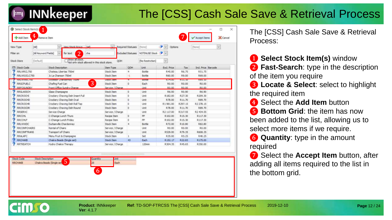## The [CSS] Cash Sale Save & Retrieval Process

| $\overline{2}$<br>NOTINUSE Stock<br>[All Keyword Fields]<br>for text<br>dia<br><b>Excluded Statuses</b><br>Filter on<br>Show all stock.<br>(Default)<br><b>Stock Store</b><br>(No Restriction)<br>QOH<br>Not only stock allowed in this stock store.<br><b>P.M. Stock Code</b><br>Unit<br>Exd. Price<br>Ind. Price Barcode<br><b>Stock Description</b><br><b>Item Type</b><br><b>QOH</b><br>Tax<br>RRLWRCL750<br>Chateau Libertas 750ml<br>Stock Item<br>Bottle<br>R45.00<br>R6.75<br>R51.75<br>4<br>3c La Chanson 750ml<br>R9.00<br>RRLWS3CLC750<br>Stock Item<br>$-1$<br>Bottle<br>R60.00<br>R69.00<br>Excessor Chargonnay 730ml<br><b>Stock atem</b><br><b>HNT MAME/C \ 20</b><br><b>BOTHE</b><br><b>N./M.UU</b><br><b>M.11.10</b><br><b>MB3.10</b><br>3<br><b>RRGCFUELC</b><br>$\circ$<br>Chafing Fuel Can<br>Stock Item<br>Each<br>R0.00<br>R0.00<br>R0.00<br><b>RRFOSUNDRY</b><br>Front Office Sundry Charge<br>Service / Charge<br>Unit<br>R0.00<br>R0.00<br>R0.00<br>RRGLASSCH<br>Glass Champagne<br>Stock Item<br>ø<br>Unit<br>R0.90<br>R6.90<br>R6.00<br><b>RRCROOHI</b><br>Crockery Chaving Dish Insert Full<br>Stock Item<br>R27.30<br>R209.30<br>0<br>Unit<br>R182.00<br>RROROCHD<br>Crockery Chaving Dish Oval<br>Stock Item<br>o<br>Linit<br>R78.00<br>R11.70<br>R89.70<br><b>RRCROCHR</b><br>Crockery Chaving Dish Roll Top<br>Stock Item<br>o<br>Unit<br>R1981.00<br>R297.15<br>R2 278.15<br><b>RRCROCDR</b><br>Crockery Chaving Dish Round<br>Stock Item<br>$\overline{0}$<br>R.78.00<br>R89.70<br>Unit<br>R11.70<br>RRSERVC<br>Service Charge<br>Unit<br>R2 117.00<br>R317.55<br>R2 434.55<br>Service / Charge<br><b>RRCOHL</b><br>PP<br>C-Change Lunch Thurs<br>Recipe Item<br>o<br>R102.00<br>R15.30<br>R117.30<br><b>RRCO+LF</b><br>C-Change Lunch Friday<br>pp<br>R15.30<br>R117.30<br>Recipe Item<br>$\Omega$<br>R102.00<br><b>RRLWWDC</b><br>Durbanville Chardonnav<br>Stock Item<br>4<br><b>Bottle</b><br>R72.00<br>R10.80<br>R82.80<br><b>RRCONFCHAIRS</b><br>Rental of Chairs<br>Service / Charge<br><b>Unit</b><br>R0.00<br>R.O.OO<br>R0.00<br><b>RRCONFTRANS</b><br>Transport of Chairs<br>Unit<br>R79.35<br>R608.35<br>Service / Charge<br>R529.00<br><b>RRALAFC</b><br>R40.25<br>Menu Fruit & Champagne<br>Stock Item<br>Set<br>R35.00<br>R5.25<br>1<br><b>RRCHAKE</b><br>Chakra Beads (Single set)<br><b>Stock Item</b><br>43<br>Each<br>R175.00<br>R152.17<br>R22.83<br><b>RRTREATCH</b><br>Hydro Chakra Therapy<br>120mm<br>R350.00<br>Service / Charge<br>R304.35<br>R45.65 | View Type | [Al] | M. | View Stock Group [AI] | Required Statuses | [None] | $\bullet$ $\circ$ $\circ$ | Options | [None] |  |
|-----------------------------------------------------------------------------------------------------------------------------------------------------------------------------------------------------------------------------------------------------------------------------------------------------------------------------------------------------------------------------------------------------------------------------------------------------------------------------------------------------------------------------------------------------------------------------------------------------------------------------------------------------------------------------------------------------------------------------------------------------------------------------------------------------------------------------------------------------------------------------------------------------------------------------------------------------------------------------------------------------------------------------------------------------------------------------------------------------------------------------------------------------------------------------------------------------------------------------------------------------------------------------------------------------------------------------------------------------------------------------------------------------------------------------------------------------------------------------------------------------------------------------------------------------------------------------------------------------------------------------------------------------------------------------------------------------------------------------------------------------------------------------------------------------------------------------------------------------------------------------------------------------------------------------------------------------------------------------------------------------------------------------------------------------------------------------------------------------------------------------------------------------------------------------------------------------------------------------------------------------------------------------------------------------------------------------------------------------------------------------------------------------------------------------------------------------------------------------------------------------------------|-----------|------|----|-----------------------|-------------------|--------|---------------------------|---------|--------|--|
|                                                                                                                                                                                                                                                                                                                                                                                                                                                                                                                                                                                                                                                                                                                                                                                                                                                                                                                                                                                                                                                                                                                                                                                                                                                                                                                                                                                                                                                                                                                                                                                                                                                                                                                                                                                                                                                                                                                                                                                                                                                                                                                                                                                                                                                                                                                                                                                                                                                                                                                 |           |      |    |                       |                   |        |                           |         |        |  |
|                                                                                                                                                                                                                                                                                                                                                                                                                                                                                                                                                                                                                                                                                                                                                                                                                                                                                                                                                                                                                                                                                                                                                                                                                                                                                                                                                                                                                                                                                                                                                                                                                                                                                                                                                                                                                                                                                                                                                                                                                                                                                                                                                                                                                                                                                                                                                                                                                                                                                                                 |           |      |    |                       |                   |        |                           |         |        |  |
|                                                                                                                                                                                                                                                                                                                                                                                                                                                                                                                                                                                                                                                                                                                                                                                                                                                                                                                                                                                                                                                                                                                                                                                                                                                                                                                                                                                                                                                                                                                                                                                                                                                                                                                                                                                                                                                                                                                                                                                                                                                                                                                                                                                                                                                                                                                                                                                                                                                                                                                 |           |      |    |                       |                   |        |                           |         |        |  |
|                                                                                                                                                                                                                                                                                                                                                                                                                                                                                                                                                                                                                                                                                                                                                                                                                                                                                                                                                                                                                                                                                                                                                                                                                                                                                                                                                                                                                                                                                                                                                                                                                                                                                                                                                                                                                                                                                                                                                                                                                                                                                                                                                                                                                                                                                                                                                                                                                                                                                                                 |           |      |    |                       |                   |        |                           |         |        |  |
|                                                                                                                                                                                                                                                                                                                                                                                                                                                                                                                                                                                                                                                                                                                                                                                                                                                                                                                                                                                                                                                                                                                                                                                                                                                                                                                                                                                                                                                                                                                                                                                                                                                                                                                                                                                                                                                                                                                                                                                                                                                                                                                                                                                                                                                                                                                                                                                                                                                                                                                 |           |      |    |                       |                   |        |                           |         |        |  |
|                                                                                                                                                                                                                                                                                                                                                                                                                                                                                                                                                                                                                                                                                                                                                                                                                                                                                                                                                                                                                                                                                                                                                                                                                                                                                                                                                                                                                                                                                                                                                                                                                                                                                                                                                                                                                                                                                                                                                                                                                                                                                                                                                                                                                                                                                                                                                                                                                                                                                                                 |           |      |    |                       |                   |        |                           |         |        |  |
|                                                                                                                                                                                                                                                                                                                                                                                                                                                                                                                                                                                                                                                                                                                                                                                                                                                                                                                                                                                                                                                                                                                                                                                                                                                                                                                                                                                                                                                                                                                                                                                                                                                                                                                                                                                                                                                                                                                                                                                                                                                                                                                                                                                                                                                                                                                                                                                                                                                                                                                 |           |      |    |                       |                   |        |                           |         |        |  |
|                                                                                                                                                                                                                                                                                                                                                                                                                                                                                                                                                                                                                                                                                                                                                                                                                                                                                                                                                                                                                                                                                                                                                                                                                                                                                                                                                                                                                                                                                                                                                                                                                                                                                                                                                                                                                                                                                                                                                                                                                                                                                                                                                                                                                                                                                                                                                                                                                                                                                                                 |           |      |    |                       |                   |        |                           |         |        |  |
|                                                                                                                                                                                                                                                                                                                                                                                                                                                                                                                                                                                                                                                                                                                                                                                                                                                                                                                                                                                                                                                                                                                                                                                                                                                                                                                                                                                                                                                                                                                                                                                                                                                                                                                                                                                                                                                                                                                                                                                                                                                                                                                                                                                                                                                                                                                                                                                                                                                                                                                 |           |      |    |                       |                   |        |                           |         |        |  |
|                                                                                                                                                                                                                                                                                                                                                                                                                                                                                                                                                                                                                                                                                                                                                                                                                                                                                                                                                                                                                                                                                                                                                                                                                                                                                                                                                                                                                                                                                                                                                                                                                                                                                                                                                                                                                                                                                                                                                                                                                                                                                                                                                                                                                                                                                                                                                                                                                                                                                                                 |           |      |    |                       |                   |        |                           |         |        |  |
|                                                                                                                                                                                                                                                                                                                                                                                                                                                                                                                                                                                                                                                                                                                                                                                                                                                                                                                                                                                                                                                                                                                                                                                                                                                                                                                                                                                                                                                                                                                                                                                                                                                                                                                                                                                                                                                                                                                                                                                                                                                                                                                                                                                                                                                                                                                                                                                                                                                                                                                 |           |      |    |                       |                   |        |                           |         |        |  |
|                                                                                                                                                                                                                                                                                                                                                                                                                                                                                                                                                                                                                                                                                                                                                                                                                                                                                                                                                                                                                                                                                                                                                                                                                                                                                                                                                                                                                                                                                                                                                                                                                                                                                                                                                                                                                                                                                                                                                                                                                                                                                                                                                                                                                                                                                                                                                                                                                                                                                                                 |           |      |    |                       |                   |        |                           |         |        |  |
|                                                                                                                                                                                                                                                                                                                                                                                                                                                                                                                                                                                                                                                                                                                                                                                                                                                                                                                                                                                                                                                                                                                                                                                                                                                                                                                                                                                                                                                                                                                                                                                                                                                                                                                                                                                                                                                                                                                                                                                                                                                                                                                                                                                                                                                                                                                                                                                                                                                                                                                 |           |      |    |                       |                   |        |                           |         |        |  |
|                                                                                                                                                                                                                                                                                                                                                                                                                                                                                                                                                                                                                                                                                                                                                                                                                                                                                                                                                                                                                                                                                                                                                                                                                                                                                                                                                                                                                                                                                                                                                                                                                                                                                                                                                                                                                                                                                                                                                                                                                                                                                                                                                                                                                                                                                                                                                                                                                                                                                                                 |           |      |    |                       |                   |        |                           |         |        |  |
|                                                                                                                                                                                                                                                                                                                                                                                                                                                                                                                                                                                                                                                                                                                                                                                                                                                                                                                                                                                                                                                                                                                                                                                                                                                                                                                                                                                                                                                                                                                                                                                                                                                                                                                                                                                                                                                                                                                                                                                                                                                                                                                                                                                                                                                                                                                                                                                                                                                                                                                 |           |      |    |                       |                   |        |                           |         |        |  |
|                                                                                                                                                                                                                                                                                                                                                                                                                                                                                                                                                                                                                                                                                                                                                                                                                                                                                                                                                                                                                                                                                                                                                                                                                                                                                                                                                                                                                                                                                                                                                                                                                                                                                                                                                                                                                                                                                                                                                                                                                                                                                                                                                                                                                                                                                                                                                                                                                                                                                                                 |           |      |    |                       |                   |        |                           |         |        |  |
|                                                                                                                                                                                                                                                                                                                                                                                                                                                                                                                                                                                                                                                                                                                                                                                                                                                                                                                                                                                                                                                                                                                                                                                                                                                                                                                                                                                                                                                                                                                                                                                                                                                                                                                                                                                                                                                                                                                                                                                                                                                                                                                                                                                                                                                                                                                                                                                                                                                                                                                 |           |      |    |                       |                   |        |                           |         |        |  |
|                                                                                                                                                                                                                                                                                                                                                                                                                                                                                                                                                                                                                                                                                                                                                                                                                                                                                                                                                                                                                                                                                                                                                                                                                                                                                                                                                                                                                                                                                                                                                                                                                                                                                                                                                                                                                                                                                                                                                                                                                                                                                                                                                                                                                                                                                                                                                                                                                                                                                                                 |           |      |    |                       |                   |        |                           |         |        |  |
|                                                                                                                                                                                                                                                                                                                                                                                                                                                                                                                                                                                                                                                                                                                                                                                                                                                                                                                                                                                                                                                                                                                                                                                                                                                                                                                                                                                                                                                                                                                                                                                                                                                                                                                                                                                                                                                                                                                                                                                                                                                                                                                                                                                                                                                                                                                                                                                                                                                                                                                 |           |      |    |                       |                   |        |                           |         |        |  |
|                                                                                                                                                                                                                                                                                                                                                                                                                                                                                                                                                                                                                                                                                                                                                                                                                                                                                                                                                                                                                                                                                                                                                                                                                                                                                                                                                                                                                                                                                                                                                                                                                                                                                                                                                                                                                                                                                                                                                                                                                                                                                                                                                                                                                                                                                                                                                                                                                                                                                                                 |           |      |    |                       |                   |        |                           |         |        |  |
|                                                                                                                                                                                                                                                                                                                                                                                                                                                                                                                                                                                                                                                                                                                                                                                                                                                                                                                                                                                                                                                                                                                                                                                                                                                                                                                                                                                                                                                                                                                                                                                                                                                                                                                                                                                                                                                                                                                                                                                                                                                                                                                                                                                                                                                                                                                                                                                                                                                                                                                 |           |      |    |                       |                   |        |                           |         |        |  |
|                                                                                                                                                                                                                                                                                                                                                                                                                                                                                                                                                                                                                                                                                                                                                                                                                                                                                                                                                                                                                                                                                                                                                                                                                                                                                                                                                                                                                                                                                                                                                                                                                                                                                                                                                                                                                                                                                                                                                                                                                                                                                                                                                                                                                                                                                                                                                                                                                                                                                                                 |           |      |    |                       |                   |        |                           |         |        |  |
|                                                                                                                                                                                                                                                                                                                                                                                                                                                                                                                                                                                                                                                                                                                                                                                                                                                                                                                                                                                                                                                                                                                                                                                                                                                                                                                                                                                                                                                                                                                                                                                                                                                                                                                                                                                                                                                                                                                                                                                                                                                                                                                                                                                                                                                                                                                                                                                                                                                                                                                 |           |      |    |                       |                   |        |                           |         |        |  |
|                                                                                                                                                                                                                                                                                                                                                                                                                                                                                                                                                                                                                                                                                                                                                                                                                                                                                                                                                                                                                                                                                                                                                                                                                                                                                                                                                                                                                                                                                                                                                                                                                                                                                                                                                                                                                                                                                                                                                                                                                                                                                                                                                                                                                                                                                                                                                                                                                                                                                                                 |           |      |    |                       |                   |        |                           |         |        |  |
| Stock Code<br>Stock Description<br><b>Unit</b><br>Quantity<br>5<br>Chakra Beads (Single set<br>25<br>Each<br>RRCHAKE                                                                                                                                                                                                                                                                                                                                                                                                                                                                                                                                                                                                                                                                                                                                                                                                                                                                                                                                                                                                                                                                                                                                                                                                                                                                                                                                                                                                                                                                                                                                                                                                                                                                                                                                                                                                                                                                                                                                                                                                                                                                                                                                                                                                                                                                                                                                                                                            |           |      |    |                       |                   |        |                           |         |        |  |

**Ver**: 4.1.7

**Product**: INNkeeper **Ref**: TD-SOP-FTRCSS The [CSS] Cash Sale Save & Retrieval Process 2019-12-10

The [CSS] Cash Sale Save & Retrieval Process:

❶ **Select Stock Item(s)** window

❷ **Fast-Search**: type in the description of the item you require

❸ **Locate & Select**: select to highlight the required item

**4** Select the **Add Item** button

**b** Bottom Grid: the item has now been added to the list, allowing us to select more items if we require.

❻ **Quantity**: type in the amount required

❼ Select the **Accept Item** button, after adding all items required to the list in the bottom grid.

**Page** 12 / 24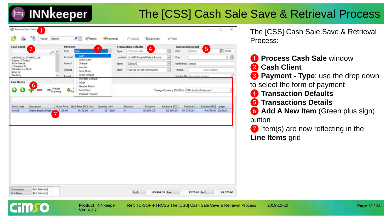

#### The [CSS] Cash Sale Save & Retrieval Process

| <b>Cash Client</b>                                           |                                    |                           | Payment                  |                                      |               |          | <b>Transaction Defaults</b> |                            |                | <b>Transaction Detail</b>              |              |                                                    |           |
|--------------------------------------------------------------|------------------------------------|---------------------------|--------------------------|--------------------------------------|---------------|----------|-----------------------------|----------------------------|----------------|----------------------------------------|--------------|----------------------------------------------------|-----------|
|                                                              | $\overline{2}$                     | ٨<br>P                    | Type                     | Cash                                 | 3             | Type     | CSS Carth Sale              | $\overline{4}$             |                | Date                                   | [Today]      | 5 <sup>1</sup>                                     | 100:00    |
| WEST0003 / STMBRC2105                                        |                                    |                           | Account                  | Cash<br>Credit Card                  |               | Location |                             | MAIN Imperial Palace Rooms | w              | Due                                    |              |                                                    | 9 O       |
| Rayne Of Talent<br>Ms M Weste                                |                                    |                           | Amount                   | Cheque                               |               | Store    | (Default)                   |                            | $\sim$         | Reference Weste                        |              |                                                    |           |
| 13 Azalea Str<br>Old Alberton North                          |                                    |                           | Change                   | Voucher.                             |               | Staff    |                             | MASTOO 1S MASTER MASTER.   | w              | TXN No.                                |              | <not posted=""></not>                              |           |
| Alberton<br>Gauteng                                          |                                    |                           | Round                    | Debit Order<br><b>Direct Deposit</b> |               |          |                             |                            |                | <b>Invoice No. 1 No Invoice Number</b> |              |                                                    |           |
|                                                              |                                    |                           |                          | Traveller Cheque                     |               |          |                             |                            |                |                                        |              |                                                    |           |
| <b>Line Items</b>                                            | 6                                  |                           |                          | Other<br>Member Points               |               |          |                             |                            |                |                                        |              |                                                    |           |
|                                                              |                                    | Wedge<br>1999<br>Scanning | $\mathbf{Q}_{\text{Pa}}$ | Debit Card                           |               |          |                             |                            |                |                                        |              | Foreign Currency (FC) Edits ZAR South African rand |           |
|                                                              |                                    |                           |                          | <b>Internet Transfer</b>             |               |          |                             |                            |                |                                        |              |                                                    |           |
|                                                              |                                    |                           |                          |                                      |               |          |                             |                            |                |                                        |              |                                                    |           |
|                                                              | Description                        |                           |                          | Stock Price Stock Price (FC) Ind.    | Quantity Unit |          | <b>Discount</b>             | Exclusive                  | Exclusive (FC) |                                        | Indusive     | Indusive (FC) Ledger                               |           |
|                                                              |                                    |                           |                          |                                      |               |          |                             |                            |                |                                        |              |                                                    |           |
|                                                              | Chaira Beads (Single some R175.00) |                           |                          | R175.00<br>$\checkmark$              | 25 Each       | 0        |                             | R3804.35                   | R3804.35       |                                        | R4375.00     | R4 375.00 [Default]                                |           |
|                                                              |                                    |                           |                          |                                      |               |          |                             |                            |                |                                        |              |                                                    |           |
|                                                              |                                    |                           |                          |                                      |               |          |                             |                            |                |                                        |              |                                                    |           |
|                                                              |                                    |                           |                          |                                      |               |          |                             |                            |                |                                        |              |                                                    |           |
|                                                              |                                    |                           |                          |                                      |               |          |                             |                            |                |                                        |              |                                                    |           |
|                                                              |                                    |                           |                          |                                      |               |          |                             |                            |                |                                        |              |                                                    |           |
|                                                              |                                    |                           |                          |                                      |               |          |                             |                            |                |                                        |              |                                                    |           |
|                                                              |                                    |                           |                          |                                      |               |          |                             |                            |                |                                        |              |                                                    |           |
|                                                              |                                    |                           |                          |                                      |               |          |                             |                            |                |                                        |              |                                                    |           |
|                                                              |                                    |                           |                          |                                      |               |          |                             |                            |                |                                        |              |                                                    |           |
|                                                              |                                    |                           |                          |                                      |               |          |                             |                            |                |                                        |              |                                                    |           |
| Stock Code<br><b>CHAKE</b><br>Commission<br><b>Unit Name</b> | [Not Selected]<br>[Not Selected]   |                           |                          |                                      |               |          | Excl                        |                            | R3 804.35 Tax  |                                        | R570.65 Incl |                                                    | R4 375.00 |

The [CSS] Cash Sale Save & Retrieval Process:

- **1** Process Cash Sale window ❷ **Cash Client**
- ❸ **Payment Type**: use the drop down to select the form of payment
- ❹ **Transaction Defaults**
- ❺ **Transactions Details**
- ❻ **Add A New Item** (Green plus sign) button
- ❼ Item(s) are now reflecting in the **Line Items** grid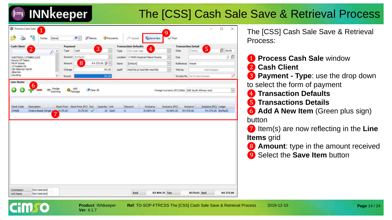## The [CSS] Cash Sale Save & Retrieval Process

| Type:<br>×<br>p |                                                        | $\overline{3}$                            |                                                            | <b>Transaction Defaults</b>                               |                                 |                                                 | <b>Transaction Detail</b> |                                      | 5                                        |                                                                                                                                                                  |
|-----------------|--------------------------------------------------------|-------------------------------------------|------------------------------------------------------------|-----------------------------------------------------------|---------------------------------|-------------------------------------------------|---------------------------|--------------------------------------|------------------------------------------|------------------------------------------------------------------------------------------------------------------------------------------------------------------|
|                 | Cash                                                   |                                           | $\sim$<br>Type                                             | CSS Cash Sale                                             | 4                               |                                                 | Date                      | [Today]                              |                                          | Ø)<br>00:00                                                                                                                                                      |
|                 | Account (Default)                                      |                                           | $\omega$<br>Location                                       |                                                           | Sir MAIN Imperial Palace Rooms  | $\mathcal{L}_{\mathcal{C}}$                     | Due                       |                                      |                                          | 90                                                                                                                                                               |
|                 | 8                                                      |                                           |                                                            | [Default]                                                 |                                 | $\sim$                                          |                           |                                      |                                          |                                                                                                                                                                  |
|                 |                                                        |                                           |                                                            |                                                           |                                 | $\backsim$                                      |                           |                                      |                                          |                                                                                                                                                                  |
| ×<br>Round      |                                                        |                                           |                                                            |                                                           |                                 |                                                 |                           |                                      |                                          |                                                                                                                                                                  |
| 7               |                                                        |                                           |                                                            |                                                           |                                 |                                                 |                           |                                      |                                          |                                                                                                                                                                  |
|                 |                                                        |                                           |                                                            |                                                           |                                 |                                                 |                           |                                      |                                          |                                                                                                                                                                  |
|                 |                                                        |                                           |                                                            |                                                           |                                 |                                                 |                           |                                      |                                          |                                                                                                                                                                  |
|                 |                                                        |                                           |                                                            |                                                           |                                 |                                                 |                           |                                      |                                          |                                                                                                                                                                  |
|                 |                                                        |                                           |                                                            |                                                           |                                 |                                                 |                           |                                      |                                          |                                                                                                                                                                  |
|                 |                                                        |                                           |                                                            |                                                           |                                 |                                                 |                           |                                      |                                          |                                                                                                                                                                  |
|                 |                                                        |                                           |                                                            |                                                           |                                 |                                                 |                           |                                      |                                          |                                                                                                                                                                  |
|                 |                                                        |                                           |                                                            |                                                           |                                 |                                                 |                           |                                      |                                          |                                                                                                                                                                  |
|                 | Wedge<br>Scanning<br>Chakra Beads (Single s<br>R175.00 | <b>Amount</b><br>Change<br>Add<br>Package | Clear All<br>Stock Price Stock Price (FC) Incl.<br>R175.00 | R4375.00 2<br>R0.00<br>R.O.OO<br>Quantity Unit<br>25 Each | Store<br>Staff<br>Discount<br>o | MASTO015 MASTER MASTER<br>Exdusive.<br>R3804.35 |                           | TXN-No<br>Exclusive (FC)<br>R3804.35 | Reference Weste<br>Inclusive<br>R4375.00 | <not posted=""><br/>Invoice No   No Invoice Number<br/>Foreign Currency (FC) Edits ZAR South African rand<br/>Indusive (FC) Ledger<br/>R4 375.00 [Default]</not> |

The [CSS] Cash Sale Save & Retrieval Process:

- ❶ **Process Cash Sale** window ❷ **Cash Client**
- ❸ **Payment Type**: use the drop down to select the form of payment
- ❹ **Transaction Defaults**
- ❺ **Transactions Details**
- **6 Add A New Item** (Green plus sign) button
- ❼ Item(s) are now reflecting in the **Line Items** grid
- **8** Amount: type in the amount received
- **9** Select the **Save Item** button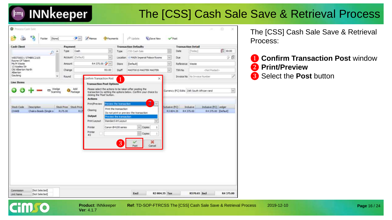## The [CSS] Cash Sale Save & Retrieval Process

| <b>Cash Client</b>                                                  | Payment                             |                                                                                                         |                                                                                                                              | <b>Transaction Defaults</b>                                                                                                      |                             | <b>Transaction Detail</b> |                                               |                     |
|---------------------------------------------------------------------|-------------------------------------|---------------------------------------------------------------------------------------------------------|------------------------------------------------------------------------------------------------------------------------------|----------------------------------------------------------------------------------------------------------------------------------|-----------------------------|---------------------------|-----------------------------------------------|---------------------|
| P                                                                   | Cash<br>Type<br>۸                   | $\mathbf{v}$                                                                                            | Type                                                                                                                         | CSS Cash Sale                                                                                                                    |                             | Date                      | [Today]                                       | 100:00              |
| WEST0003 / STMBRC2105                                               | Account (Default)                   | V.                                                                                                      |                                                                                                                              | Location > MAIN Imperial Palace Rooms                                                                                            | $\omega$                    | Due                       |                                               | 9 6                 |
| Rayne Of Talent<br>Ms M Weste                                       | Amount                              | R4 375.00 P                                                                                             | Store                                                                                                                        | [Default]                                                                                                                        | $\sim$                      | Reference Weste           |                                               |                     |
| 13 Azalea Str<br>Old Alberton North<br>Alberton                     | Change                              | R0.00                                                                                                   | Staff                                                                                                                        | MAST001S MASTER MASTER                                                                                                           | $\ddot{}$                   | TXN No                    | <not posted=""></not>                         |                     |
| Gauteng                                                             | ×<br>Round                          | Confirm Transaction Post                                                                                |                                                                                                                              | ×                                                                                                                                |                             |                           | Invoice No No Imvoice Number                  |                     |
| <b>Line Items</b>                                                   |                                     | <b>Transaction Post Options</b>                                                                         |                                                                                                                              |                                                                                                                                  |                             |                           |                                               |                     |
|                                                                     | Add<br>Wedge<br>Padrage<br>Scanning | Please select the actions to be taken after posting the<br>dicking the 'Post' button.<br><b>Actions</b> |                                                                                                                              | transaction by setting the options below. Confirm your choice by                                                                 |                             |                           | Currency (FC) Edits ZAR South African rand    | $\sim$              |
| <b>Stock Code</b><br>Description<br>CHAKE<br>Chakra Beads (Single s | Stock Price Stock Price<br>R175.00  | Print/Preview<br>Clearing<br><b>R17</b><br>Output<br>Print Layout<br>Printer<br>Printer<br>$\pm 2$      | Preview the transaction<br>Print the transaction<br>Preview the transaction<br>Standard A4 Layout<br>Canon B4100 series<br>3 | $2^{^{\circ}}$<br>$\sim$<br>Do not print or preview the transaction<br>$\vee$ Copies<br>ı.<br>Copies<br>t<br>×<br>Post<br>Cancel | Exclusive (FC)<br>R3 804.35 |                           | Indusive<br>Indusive (FC) Ledger<br>R4 375.00 | R4 375.00 [Default] |

**Ver**: 4.1.7

**HMSO** 

The [CSS] Cash Sale Save & Retrieval Process:

#### **1 Confirm Transaction Post window** ❷ **Print/Preview**

❸ Select the **Post** button

**Product**: INNkeeper **Ref**: TD-SOP-FTRCSS The [CSS] Cash Sale Save & Retrieval Process 2019-12-10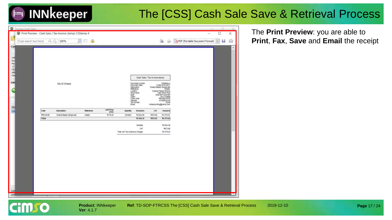#### The [CSS] Cash Sale Save & Retrieval Process

|                        | C Process Cash Sale     |                | The Print Preview - Cash Sale / Tax Invoice (temp) CSStemp 4 |                   |                   |                                  |                                                                                                                                                           |                                |                                                                                                                                                                        | $\Box$<br>×                                                                     |
|------------------------|-------------------------|----------------|--------------------------------------------------------------|-------------------|-------------------|----------------------------------|-----------------------------------------------------------------------------------------------------------------------------------------------------------|--------------------------------|------------------------------------------------------------------------------------------------------------------------------------------------------------------------|---------------------------------------------------------------------------------|
|                        | (Type search text here) |                | я<br>$7 - 71 100%$                                           | đ,<br>Ð           |                   |                                  |                                                                                                                                                           |                                |                                                                                                                                                                        | PDF (Portable Document Format)<br>8<br>$\left\vert \mathcal{H}\right\vert$<br>ы |
| Cas<br>통광원역분 8<br>Line |                         |                | Ms M Wester                                                  |                   |                   |                                  | Document number<br>Document date<br>Description<br>Raference<br>Location<br>Stock atore<br>Staff<br>Client<br>Client code<br><b>Manber</b><br>Tail humber | Cash Sale / Tax Invoice (temp) | CSSterns 4<br>6 Sep 2019 09:07<br>Chara Beach (Strole set)<br>Weste<br>Imperial Palace Rooms<br>WASTER MASTER<br>WINDOW WWW.<br>MRINESTOOD<br>STMBRC2128<br>STMBRC2128 | ×                                                                               |
| Stg<br><b>o</b>        |                         | Code           | <b>Description</b>                                           | <b>Hellenence</b> | Unit Price        | Email<br>Quantry                 | Exclusive.                                                                                                                                                | <b>VAY</b>                     | mikaopuriting@yanoo.com<br>inguitive)                                                                                                                                  |                                                                                 |
|                        |                         | <b>RRCHAVE</b> | Chakra Beach (Single set)                                    | Visata            | (incl)<br>8175.00 | 25 Each                          | 93 804.35                                                                                                                                                 | <b>MS70.65</b>                 | M4 375.00                                                                                                                                                              |                                                                                 |
|                        |                         | Totale         |                                                              |                   |                   |                                  | R3 804.35                                                                                                                                                 | <b>MS70.65</b>                 | M4 S75.00                                                                                                                                                              |                                                                                 |
|                        |                         |                |                                                              |                   |                   | Total with Tax & Service Charges | Subtotal<br>VAT                                                                                                                                           |                                | PO 804.25<br>PAS70 88<br>R4 375.00                                                                                                                                     |                                                                                 |
| Con<br>Unit            |                         |                |                                                              |                   |                   |                                  |                                                                                                                                                           |                                |                                                                                                                                                                        | 55                                                                              |

The **Print Preview**: you are able to **Print**, **Fax**, **Save** and **Email** the receipt

**HIILIO**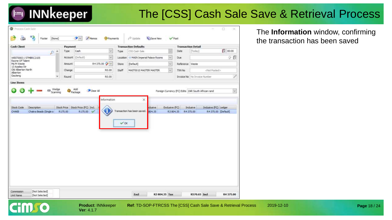#### The [CSS] Cash Sale Save & Retrieval Process

| Cash<br>[Today]<br>$\sim$<br>CSS Cash Sale<br>Date<br>Type<br>Type<br>$P^*$<br>少費<br>Account: (Default)<br>×<br>MAIN Imperial Palace Rooms<br>$\omega$<br>Due.<br>WEST0003 / STMBRC2105<br>Location<br>Rayne Of Talent<br>R4375.00 V<br>$\sim$<br>Amount<br>[Default]<br>Reference Weste<br><b>Store</b><br>R0.00<br>MASTO01S MASTER MASTER<br>$\vee$<br>Change<br><b>Staff</b><br>TXN No<br><not posted=""><br/>D.<br/><math>\overline{\phantom{a}}</math><br/>R.O.O.O<br/><b>Invoice No</b> No Invoice Number<br/>Round<br/>Line Items<br/>Wedge<br/>Scanning<br/>Add<br/>Package<br/>Clear All<br/>Foreign Currency (FC) Edits   ZAR South African rand<br/><math display="inline">\sim</math><br/>×<br/>Information<br/>Stock Price Stock Price (FC) Incl.<br/>Inclusive (FC) Ledger<br/>Exclusive (FC)<br/><b>Stock Code</b><br/>Description<br/>Indusive<br/>clusive.<br/>Transaction has been saved.<br/>R175.00 V<br/>R4 375.00 [Default]<br/>CHAKE<br/>Chakra Beads (Single s<br/>R175.00<br/>804.35<br/>R3804.35<br/>R4375.00<br/><math>\vee</math> OK</not> | <b>Cash Client</b>             | Payment |  | <b>Transaction Defaults</b> | <b>Transaction Detail</b> |                  |
|------------------------------------------------------------------------------------------------------------------------------------------------------------------------------------------------------------------------------------------------------------------------------------------------------------------------------------------------------------------------------------------------------------------------------------------------------------------------------------------------------------------------------------------------------------------------------------------------------------------------------------------------------------------------------------------------------------------------------------------------------------------------------------------------------------------------------------------------------------------------------------------------------------------------------------------------------------------------------------------------------------------------------------------------------------------------|--------------------------------|---------|--|-----------------------------|---------------------------|------------------|
|                                                                                                                                                                                                                                                                                                                                                                                                                                                                                                                                                                                                                                                                                                                                                                                                                                                                                                                                                                                                                                                                        |                                |         |  |                             |                           | $\sqrt{3}$ 00:00 |
|                                                                                                                                                                                                                                                                                                                                                                                                                                                                                                                                                                                                                                                                                                                                                                                                                                                                                                                                                                                                                                                                        |                                |         |  |                             |                           |                  |
|                                                                                                                                                                                                                                                                                                                                                                                                                                                                                                                                                                                                                                                                                                                                                                                                                                                                                                                                                                                                                                                                        | Ms M Weste<br>13 Azalea Str    |         |  |                             |                           |                  |
|                                                                                                                                                                                                                                                                                                                                                                                                                                                                                                                                                                                                                                                                                                                                                                                                                                                                                                                                                                                                                                                                        | Old Alberton North<br>Alberton |         |  |                             |                           |                  |
|                                                                                                                                                                                                                                                                                                                                                                                                                                                                                                                                                                                                                                                                                                                                                                                                                                                                                                                                                                                                                                                                        | Gauteng                        |         |  |                             |                           |                  |
|                                                                                                                                                                                                                                                                                                                                                                                                                                                                                                                                                                                                                                                                                                                                                                                                                                                                                                                                                                                                                                                                        |                                |         |  |                             |                           |                  |

**Ver**: 4.1.7

**Cimro** 

The **Information** window, confirming the transaction has been saved

**Page** 18 / 24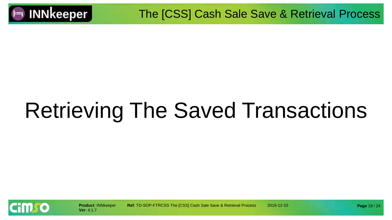

# Retrieving The Saved Transactions



**Product**: INNkeeper **Ref**: TD-SOP-FTRCSS The [CSS] Cash Sale Save & Retrieval Process 2019-12-10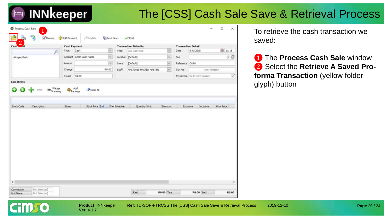## The [CSS] Cash Sale Save & Retrieval Process

| $\overline{2}$<br>Cash           | <b>Cash Payment</b> |                                         |              | <b>Transaction Defaults</b> |                         | <b>Transaction Detail</b> |                                     |                    |
|----------------------------------|---------------------|-----------------------------------------|--------------|-----------------------------|-------------------------|---------------------------|-------------------------------------|--------------------|
| P                                | Type:               | Cash<br>$\sim$                          | Type         | CSS Cash Sale               | ×                       | Date:                     | 9 Jul 2018                          | 图 11:18            |
| - Unspecified -                  |                     | $\mathbf{v}$<br>Account CASH Cash Funds |              | Location [Default]          | $\checkmark$            | Due.                      |                                     | $\partial$ 0       |
|                                  | Amount              | is.                                     | Store        | [Default]                   | $\overline{\mathbf{v}}$ | Reference CASH            |                                     |                    |
|                                  | Change              | R0.00                                   | Staff        | MAST001S MASTER MASTER      | $\downarrow$            | TXN No                    | <htt fosted=""></htt>               |                    |
|                                  | Round               | R0.00                                   |              |                             |                         |                           | <b>Invoice No</b> No Invoice Number | Ø                  |
| <b>Line Items</b>                |                     |                                         |              |                             |                         |                           |                                     |                    |
| Stock Code<br><b>Description</b> | Store               | Stock Price Incl.                       | Tax Schedule | Quantity Unit               | Discount                | Exclusive                 | Industrie                           | <b>Prior Price</b> |
|                                  |                     |                                         |              |                             |                         |                           |                                     |                    |
|                                  |                     |                                         |              |                             |                         |                           |                                     |                    |
|                                  |                     |                                         |              |                             |                         |                           |                                     |                    |
|                                  |                     |                                         |              |                             |                         |                           |                                     |                    |
|                                  |                     |                                         |              |                             |                         |                           |                                     |                    |
|                                  |                     |                                         |              |                             |                         |                           |                                     |                    |
|                                  |                     |                                         |              |                             |                         |                           |                                     |                    |

**Ver**: 4.1.7

**HMSO** 

**Product**: INNkeeper **Ref**: TD-SOP-FTRCSS The [CSS] Cash Sale Save & Retrieval Process 2019-12-10

To retrieve the cash transaction we saved:

❶ The **Process Cash Sale** window ❷ Select the **Retrieve A Saved Proforma Transaction** (yellow folder glyph) button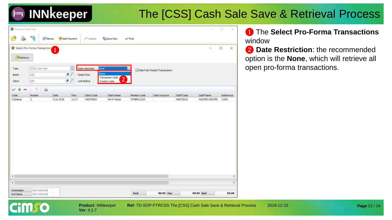#### The [CSS] Cash Sale Save & Retrieval Process

|                      | $\mathbf{P}_{\mathbf{G}}$                                                                                                                                                                                                                            | Split Payment<br>Memos |            | $r^{\diamondsuit}$ Update | <b>IL' Save New</b>                                 | $\sqrt{Post}$ |                                |                   |               |                               |
|----------------------|------------------------------------------------------------------------------------------------------------------------------------------------------------------------------------------------------------------------------------------------------|------------------------|------------|---------------------------|-----------------------------------------------------|---------------|--------------------------------|-------------------|---------------|-------------------------------|
| Retrieve             | Select Pro-Forma Transaction                                                                                                                                                                                                                         |                        |            |                           |                                                     |               |                                |                   | Ξ             | $\Box$<br>×                   |
| Type                 | [CSS] Cash Sale                                                                                                                                                                                                                                      |                        |            | None<br>Date restriction  |                                                     |               | Hide Fully Posted Transactions |                   |               |                               |
| Batch                | $[AI] \centering% \includegraphics[width=1.0\textwidth]{Figures/PG1.pdf} \caption{The 3D (top) and the 4D (bottom) of the 3D (bottom) and the 4D (bottom) of the 3D (bottom) of the 3D (bottom). The 3D (bottom) is the 3D (bottom).} \label{fig:1}$ |                        | $\bullet$  | Dated from                | None                                                |               |                                |                   |               |                               |
| Client               | [AM]                                                                                                                                                                                                                                                 |                        | <b>9</b> P | until before              | Transaction Date<br>$\overline{2}$<br>Creation date |               |                                |                   |               |                               |
|                      | $\ddot{\phantom{a}}$<br>19                                                                                                                                                                                                                           |                        |            |                           |                                                     |               |                                |                   |               |                               |
| Code                 | Number                                                                                                                                                                                                                                               | Date                   | Time.      | Client Code               | Client Name                                         | Member Code   | Client Account                 | <b>Staff Code</b> | Staff Name    | <b>Reference</b>              |
| CSStemp              | $\overline{2}$                                                                                                                                                                                                                                       | 9 Jul 2018             | 11:17      | WEST0003                  | Ms M Weste                                          | STMBRC2105    |                                | MAST001S          | MASTER MASTER | CASH                          |
|                      |                                                                                                                                                                                                                                                      |                        |            |                           |                                                     |               |                                |                   |               |                               |
|                      |                                                                                                                                                                                                                                                      |                        |            |                           |                                                     |               |                                |                   |               |                               |
| $\sqrt{2}$<br>$\leq$ |                                                                                                                                                                                                                                                      |                        |            |                           |                                                     |               |                                |                   |               | $\rightarrow$<br>$\mathbf{r}$ |

**Ver**: 4.1.7

**HITLEO** 

**Product: INNkeeper Ref: TD-SOP-FTRCSS The [CSS] Cash Sale Save & Retrieval Process 2019-12-10** 

#### ❶ The **Select Pro-Forma Transactions**  window

❷ **Date Restriction**: the recommended option is the **None**, which will retrieve all open pro-forma transactions.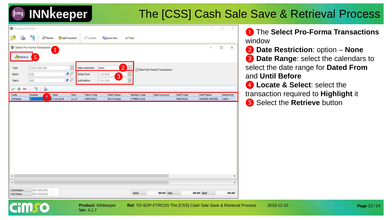#### The [CSS] Cash Sale Save & Retrieval Process

|                                 | G Select Pro-Forma Transaction                                                                                                                                                                                                                       | $\overline{\mathbf{1}}$ |               |                  |                              |                   |                                |            | ÷.                   | $\Box$<br>$\times$    |
|---------------------------------|------------------------------------------------------------------------------------------------------------------------------------------------------------------------------------------------------------------------------------------------------|-------------------------|---------------|------------------|------------------------------|-------------------|--------------------------------|------------|----------------------|-----------------------|
| Retrieve                        | $\overline{5}$                                                                                                                                                                                                                                       |                         |               |                  |                              |                   |                                |            |                      |                       |
| Type                            | [CSS] Cash Sale                                                                                                                                                                                                                                      |                         |               | Date restriction | $\boxed{2}$<br>None          | $\sqrt{2}$        | Mide Fully Posted Transactions |            |                      |                       |
| Batch                           | $[AI] % \begin{center} \includegraphics[width=\textwidth]{figures/fig_2b} \end{center} % \vspace*{-1em} \caption{The image of the image is a function of the image. The left is the number of the image is the number of the image.} \label{fig:2b}$ |                         | $\mathcal{P}$ | Dated from       | 7 3:1 2018<br>$\overline{3}$ |                   |                                |            |                      |                       |
| Client                          | [FA!]                                                                                                                                                                                                                                                |                         | ه د           | until before     | 9 3:1 2018                   |                   |                                |            |                      |                       |
| ✓                               | 恃<br>a                                                                                                                                                                                                                                               |                         |               |                  |                              |                   |                                |            |                      |                       |
| Code                            | Number                                                                                                                                                                                                                                               | Date                    | Time          | Client Code      | Client Name                  | Member Code       | Client Account                 | Staff Code | Staff Name           | Reference             |
|                                 | $\overline{4}$                                                                                                                                                                                                                                       | 9 3d 2018               | 11:17         | WEST0003         | Ms M Weste                   | <b>STMBRC2105</b> |                                | MASTOD1S   | <b>MASTER MASTER</b> | CASH                  |
|                                 |                                                                                                                                                                                                                                                      |                         |               |                  |                              |                   |                                |            |                      |                       |
|                                 |                                                                                                                                                                                                                                                      |                         |               |                  |                              |                   |                                |            |                      |                       |
| CSStemp<br>$\leq$<br>$\epsilon$ |                                                                                                                                                                                                                                                      |                         |               |                  |                              |                   |                                |            |                      | $\rightarrow$<br>$\,$ |

**Ver**: 4.1.7

**Product**: INNkeeper **Ref**: TD-SOP-FTRCSS The [CSS] Cash Sale Save & Retrieval Process 2019-12-10

❶ The **Select Pro-Forma Transactions**  window

- ❷ **Date Restriction**: option **None 8** Date Range: select the calendars to select the date range for **Dated From** and **Until Before**
- **4** Locate & Select: select the transaction required to **Highlight** it ❺ Select the **Retrieve** button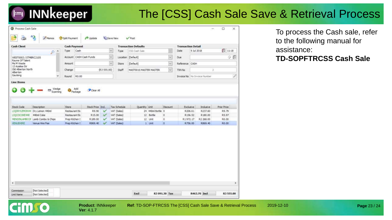#### The [CSS] Cash Sale Save & Retrieval Process

| <b>Cash Client</b>                   |                                              | <b>Cash Payment</b>    |       |                            |                          |                             | <b>Transaction Defaults</b> |                   |                      | <b>Transaction Detail</b> |                                |                      |
|--------------------------------------|----------------------------------------------|------------------------|-------|----------------------------|--------------------------|-----------------------------|-----------------------------|-------------------|----------------------|---------------------------|--------------------------------|----------------------|
|                                      | $\hat{\mathcal{D}}$<br>$\mathcal{P}$         | Type                   | Cash  |                            |                          | $\mathbf{v}$<br>Type        | CSS Cash Sale               |                   |                      | Date                      | 9 Jul 2018                     | 11:18                |
| WEST0003 / STMBRC2105                |                                              |                        |       | Account CASH Cash Funds    |                          | $\omega$                    | Location [Default]          |                   | $\ddot{\phantom{0}}$ | <b>Due</b>                |                                | 9 B                  |
| Rayne Of Talent<br>Ms M Weste        |                                              | Amount                 |       |                            |                          | $\omega$<br>Store           | w.<br>[Default]             |                   | Reference CASH       |                           |                                |                      |
| 13 Azailea Str<br>Old Alberton North |                                              | Change                 |       |                            | (R.3 555.00)             | Staff                       | MASTOO IS MASTER MASTER     |                   | $\omega$             | TXN No                    |                                |                      |
| Alberton<br>Gauteng                  | v                                            |                        | R0.00 |                            |                          |                             |                             |                   |                      |                           | Invoice No   No Invoice Number |                      |
| <b>Line Items</b>                    |                                              | Round                  |       |                            |                          |                             |                             |                   |                      |                           |                                |                      |
| <b>Stock Code</b>                    | Description<br>LIQDRYLEMON44 Dry Lemon 440ml | Store<br>Restaurant Bz |       | Stock Price Ind.<br>R.9.90 | $\checkmark$             | Tax Schedule<br>VAT (Sales) | Quantity Unit               | 24 440ml Bottle 0 | Discount             | Exclusive<br>R206.61      | Industve<br>R237.60            | Prior Price<br>R9.79 |
|                                      |                                              |                        |       |                            |                          |                             |                             |                   |                      |                           |                                |                      |
|                                      |                                              |                        |       |                            |                          |                             |                             |                   |                      |                           |                                |                      |
| LIQCOCOKE440                         | 440ml Coke                                   | Restaurant Ba          |       | R15.00                     | $\overline{\mathscr{L}}$ | VAT (Sales)                 |                             | 12 Bottle         | $\circ$              | R156.52                   | R180.00                        | R5.97                |
| MENDINLAMBCOM                        | Lamb Combo & Chips                           | Prep Kitchen 5         |       | R 189.00                   | $\checkmark$             | VAT (Sales)                 |                             | 12 Unit           | $\ddot{\mathbf{0}}$  | R1972.17                  | R2 268.00                      | R0.00                |
| <b>VENLIB-DRE</b>                    | Venue Hire Fee                               | Prep Kitchen 5         |       | R869.40                    |                          | VAT (Sales)                 |                             | 1 Unit            | $\circ$              | R756.00                   | R869.40                        | R0.00                |
|                                      |                                              |                        |       |                            |                          |                             |                             |                   |                      |                           |                                |                      |
| $\leq$                               |                                              |                        |       |                            |                          |                             |                             |                   |                      |                           |                                | $\rightarrow$        |

**Ver**: 4.1.7

**HILLO** 

To process the Cash sale, refer to the following manual for assistance:

#### **TD-SOPFTRCSS Cash Sale**